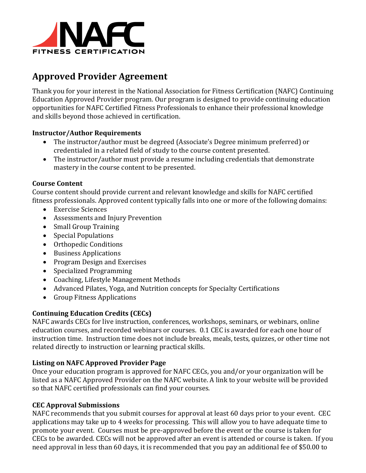

# **Approved Provider Agreement**

Thank you for your interest in the National Association for Fitness Certification (NAFC) Continuing Education Approved Provider program. Our program is designed to provide continuing education opportunities for NAFC Certified Fitness Professionals to enhance their professional knowledge and skills beyond those achieved in certification.

#### **Instructor/Author Requirements**

- The instructor/author must be degreed (Associate's Degree minimum preferred) or credentialed in a related field of study to the course content presented.
- The instructor/author must provide a resume including credentials that demonstrate mastery in the course content to be presented.

#### **Course Content**

Course content should provide current and relevant knowledge and skills for NAFC certified fitness professionals. Approved content typically falls into one or more of the following domains:

- Exercise Sciences
- Assessments and Injury Prevention
- Small Group Training
- Special Populations
- Orthopedic Conditions
- Business Applications
- Program Design and Exercises
- Specialized Programming
- Coaching, Lifestyle Management Methods
- Advanced Pilates, Yoga, and Nutrition concepts for Specialty Certifications
- Group Fitness Applications

#### **Continuing Education Credits (CECs)**

NAFC awards CECs for live instruction, conferences, workshops, seminars, or webinars, online education courses, and recorded webinars or courses. 0.1 CEC is awarded for each one hour of instruction time. Instruction time does not include breaks, meals, tests, quizzes, or other time not related directly to instruction or learning practical skills.

#### **Listing on NAFC Approved Provider Page**

Once your education program is approved for NAFC CECs, you and/or your organization will be listed as a NAFC Approved Provider on the NAFC website. A link to your website will be provided so that NAFC certified professionals can find your courses.

#### **CEC Approval Submissions**

NAFC recommends that you submit courses for approval at least 60 days prior to your event. CEC applications may take up to 4 weeks for processing. This will allow you to have adequate time to promote your event. Courses must be pre-approved before the event or the course is taken for CECs to be awarded. CECs will not be approved after an event is attended or course is taken. If you need approval in less than 60 days, it is recommended that you pay an additional fee of \$50.00 to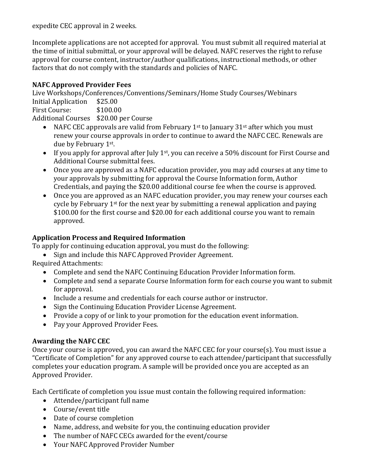expedite CEC approval in 2 weeks.

Incomplete applications are not accepted for approval. You must submit all required material at the time of initial submittal, or your approval will be delayed. NAFC reserves the right to refuse approval for course content, instructor/author qualifications, instructional methods, or other factors that do not comply with the standards and policies of NAFC.

### **NAFC Approved Provider Fees**

Live Workshops/Conferences/Conventions/Seminars/Home Study Courses/Webinars Initial Application \$25.00 First Course: \$100.00 Additional Courses \$20.00 per Course

- NAFC CEC approvals are valid from February 1<sup>st</sup> to January 31<sup>st</sup> after which you must renew your course approvals in order to continue to award the NAFC CEC. Renewals are due by February 1st.
- If you apply for approval after July 1<sup>st</sup>, you can receive a 50% discount for First Course and Additional Course submittal fees.
- Once you are approved as a NAFC education provider, you may add courses at any time to your approvals by submitting for approval the Course Information form, Author Credentials, and paying the \$20.00 additional course fee when the course is approved.
- Once you are approved as an NAFC education provider, you may renew your courses each cycle by February  $1<sup>st</sup>$  for the next year by submitting a renewal application and paying \$100.00 for the first course and \$20.00 for each additional course you want to remain approved.

### **Application Process and Required Information**

To apply for continuing education approval, you must do the following:

• Sign and include this NAFC Approved Provider Agreement.

Required Attachments:

- Complete and send the NAFC Continuing Education Provider Information form.
- Complete and send a separate Course Information form for each course you want to submit for approval.
- Include a resume and credentials for each course author or instructor.
- Sign the Continuing Education Provider License Agreement.
- Provide a copy of or link to your promotion for the education event information.
- Pay your Approved Provider Fees.

## **Awarding the NAFC CEC**

Once your course is approved, you can award the NAFC CEC for your course(s). You must issue a "Certificate of Completion" for any approved course to each attendee/participant that successfully completes your education program. A sample will be provided once you are accepted as an Approved Provider.

Each Certificate of completion you issue must contain the following required information:

- Attendee/participant full name
- Course/event title
- Date of course completion
- Name, address, and website for you, the continuing education provider
- The number of NAFC CECs awarded for the event/course
- Your NAFC Approved Provider Number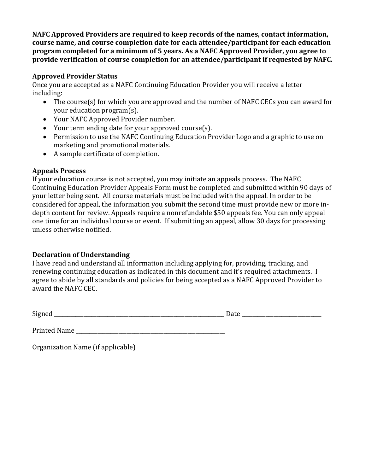**NAFC Approved Providers are required to keep records of the names, contact information, course name, and course completion date for each attendee/participant for each education program completed for a minimum of 5 years. As a NAFC Approved Provider, you agree to provide verification of course completion for an attendee/participant if requested by NAFC.**

#### **Approved Provider Status**

Once you are accepted as a NAFC Continuing Education Provider you will receive a letter including:

- The course(s) for which you are approved and the number of NAFC CECs you can award for your education program(s).
- Your NAFC Approved Provider number.
- Your term ending date for your approved course(s).
- Permission to use the NAFC Continuing Education Provider Logo and a graphic to use on marketing and promotional materials.
- A sample certificate of completion.

#### **Appeals Process**

If your education course is not accepted, you may initiate an appeals process. The NAFC Continuing Education Provider Appeals Form must be completed and submitted within 90 days of your letter being sent. All course materials must be included with the appeal. In order to be considered for appeal, the information you submit the second time must provide new or more indepth content for review. Appeals require a nonrefundable \$50 appeals fee. You can only appeal one time for an individual course or event. If submitting an appeal, allow 30 days for processing unless otherwise notified.

### **Declaration of Understanding**

I have read and understand all information including applying for, providing, tracking, and renewing continuing education as indicated in this document and it's required attachments. I agree to abide by all standards and policies for being accepted as a NAFC Approved Provider to award the NAFC CEC.

Signed \_\_\_\_\_\_\_\_\_\_\_\_\_\_\_\_\_\_\_\_\_\_\_\_\_\_\_\_\_\_\_\_\_\_\_\_\_\_\_\_\_\_\_\_\_\_\_\_\_\_\_\_\_\_\_\_\_\_\_\_\_\_\_\_ Date \_\_\_\_\_\_\_\_\_\_\_\_\_\_\_\_\_\_\_\_\_\_\_\_\_\_\_\_\_\_

Printed Name

Organization Name (if applicable) \_\_\_\_\_\_\_\_\_\_\_\_\_\_\_\_\_\_\_\_\_\_\_\_\_\_\_\_\_\_\_\_\_\_\_\_\_\_\_\_\_\_\_\_\_\_\_\_\_\_\_\_\_\_\_\_\_\_\_\_\_\_\_\_\_\_\_\_\_\_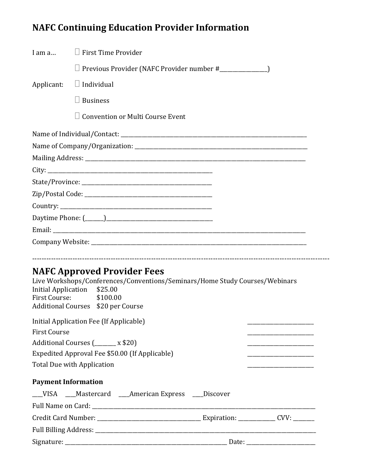# **NAFC Continuing Education Provider Information**

| I am a                     | $\Box$ First Time Provider                                                                                                                                                                         |  |  |
|----------------------------|----------------------------------------------------------------------------------------------------------------------------------------------------------------------------------------------------|--|--|
|                            | □ Previous Provider (NAFC Provider number #_________________)                                                                                                                                      |  |  |
| Applicant:                 | $\Box$ Individual                                                                                                                                                                                  |  |  |
|                            | $\Box$ Business                                                                                                                                                                                    |  |  |
|                            | $\Box$ Convention or Multi Course Event                                                                                                                                                            |  |  |
|                            |                                                                                                                                                                                                    |  |  |
|                            |                                                                                                                                                                                                    |  |  |
|                            |                                                                                                                                                                                                    |  |  |
|                            |                                                                                                                                                                                                    |  |  |
|                            |                                                                                                                                                                                                    |  |  |
|                            |                                                                                                                                                                                                    |  |  |
|                            |                                                                                                                                                                                                    |  |  |
|                            |                                                                                                                                                                                                    |  |  |
|                            |                                                                                                                                                                                                    |  |  |
|                            |                                                                                                                                                                                                    |  |  |
| <b>First Course:</b>       | <b>NAFC Approved Provider Fees</b><br>Live Workshops/Conferences/Conventions/Seminars/Home Study Courses/Webinars<br>Initial Application \$25.00<br>\$100.00<br>Additional Courses \$20 per Course |  |  |
|                            | Initial Application Fee (If Applicable)                                                                                                                                                            |  |  |
| <b>First Course</b>        |                                                                                                                                                                                                    |  |  |
|                            | Additional Courses (______ x \$20)                                                                                                                                                                 |  |  |
|                            | Expedited Approval Fee \$50.00 (If Applicable)                                                                                                                                                     |  |  |
|                            | <b>Total Due with Application</b>                                                                                                                                                                  |  |  |
| <b>Payment Information</b> |                                                                                                                                                                                                    |  |  |
|                            | __VISA ___Mastercard ___American Express ___Discover                                                                                                                                               |  |  |
|                            |                                                                                                                                                                                                    |  |  |
|                            |                                                                                                                                                                                                    |  |  |
|                            |                                                                                                                                                                                                    |  |  |
|                            |                                                                                                                                                                                                    |  |  |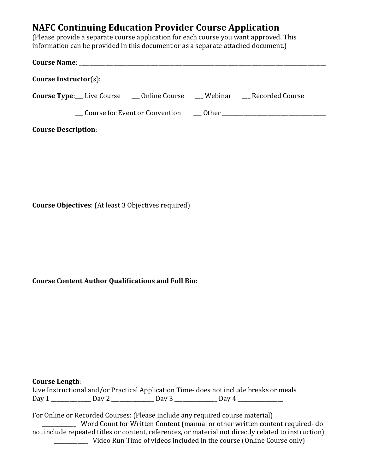## **NAFC Continuing Education Provider Course Application**

(Please provide a separate course application for each course you want approved. This information can be provided in this document or as a separate attached document.)

| <b>Course Type:</b> Live Course 	 __ Online Course 	 __ Webinar 	 __ Recorded Course |  |  |  |  |  |  |
|--------------------------------------------------------------------------------------|--|--|--|--|--|--|
|                                                                                      |  |  |  |  |  |  |
| <b>Course Description:</b>                                                           |  |  |  |  |  |  |

**Course Objectives**: (At least 3 Objectives required)

**Course Content Author Qualifications and Full Bio**:

#### **Course Length**:

Live Instructional and/or Practical Application Time- does not include breaks or meals Day 1 \_\_\_\_\_\_\_\_\_\_\_\_\_\_\_ Day 2 \_\_\_\_\_\_\_\_\_\_\_\_\_\_\_ Day 3 \_\_\_\_\_\_\_\_\_\_\_\_\_\_\_\_\_ Day 4 \_\_\_\_\_\_\_\_\_\_\_\_\_\_\_\_\_\_\_\_\_\_\_\_\_\_

For Online or Recorded Courses: (Please include any required course material) \_\_\_\_\_\_\_\_\_\_\_\_\_ Word Count for Written Content (manual or other written content required- do not include repeated titles or content, references, or material not directly related to instruction) \_\_\_\_\_\_\_\_\_\_\_\_\_ Video Run Time of videos included in the course (Online Course only)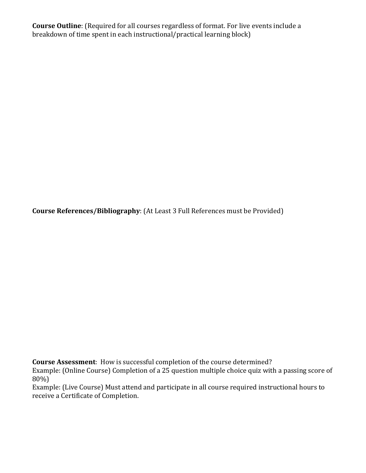**Course Outline**: (Required for all courses regardless of format. For live events include a breakdown of time spent in each instructional/practical learning block)

**Course References/Bibliography**: (At Least 3 Full References must be Provided)

**Course Assessment**: How is successful completion of the course determined?

Example: (Online Course) Completion of a 25 question multiple choice quiz with a passing score of 80%)

Example: (Live Course) Must attend and participate in all course required instructional hours to receive a Certificate of Completion.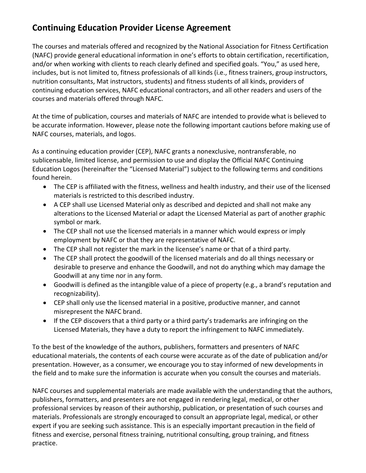# **Continuing Education Provider License Agreement**

The courses and materials offered and recognized by the National Association for Fitness Certification (NAFC) provide general educational information in one's efforts to obtain certification, recertification, and/or when working with clients to reach clearly defined and specified goals. "You," as used here, includes, but is not limited to, fitness professionals of all kinds (i.e., fitness trainers, group instructors, nutrition consultants, Mat instructors, students) and fitness students of all kinds, providers of continuing education services, NAFC educational contractors, and all other readers and users of the courses and materials offered through NAFC.

At the time of publication, courses and materials of NAFC are intended to provide what is believed to be accurate information. However, please note the following important cautions before making use of NAFC courses, materials, and logos.

As a continuing education provider (CEP), NAFC grants a nonexclusive, nontransferable, no sublicensable, limited license, and permission to use and display the Official NAFC Continuing Education Logos (hereinafter the "Licensed Material") subject to the following terms and conditions found herein.

- The CEP is affiliated with the fitness, wellness and health industry, and their use of the licensed materials is restricted to this described industry.
- A CEP shall use Licensed Material only as described and depicted and shall not make any alterations to the Licensed Material or adapt the Licensed Material as part of another graphic symbol or mark.
- The CEP shall not use the licensed materials in a manner which would express or imply employment by NAFC or that they are representative of NAFC.
- The CEP shall not register the mark in the licensee's name or that of a third party.
- The CEP shall protect the goodwill of the licensed materials and do all things necessary or desirable to preserve and enhance the Goodwill, and not do anything which may damage the Goodwill at any time nor in any form.
- Goodwill is defined as the intangible value of a piece of property (e.g., a brand's reputation and recognizability).
- CEP shall only use the licensed material in a positive, productive manner, and cannot misrepresent the NAFC brand.
- If the CEP discovers that a third party or a third party's trademarks are infringing on the Licensed Materials, they have a duty to report the infringement to NAFC immediately.

To the best of the knowledge of the authors, publishers, formatters and presenters of NAFC educational materials, the contents of each course were accurate as of the date of publication and/or presentation. However, as a consumer, we encourage you to stay informed of new developments in the field and to make sure the information is accurate when you consult the courses and materials.

NAFC courses and supplemental materials are made available with the understanding that the authors, publishers, formatters, and presenters are not engaged in rendering legal, medical, or other professional services by reason of their authorship, publication, or presentation of such courses and materials. Professionals are strongly encouraged to consult an appropriate legal, medical, or other expert if you are seeking such assistance. This is an especially important precaution in the field of fitness and exercise, personal fitness training, nutritional consulting, group training, and fitness practice.